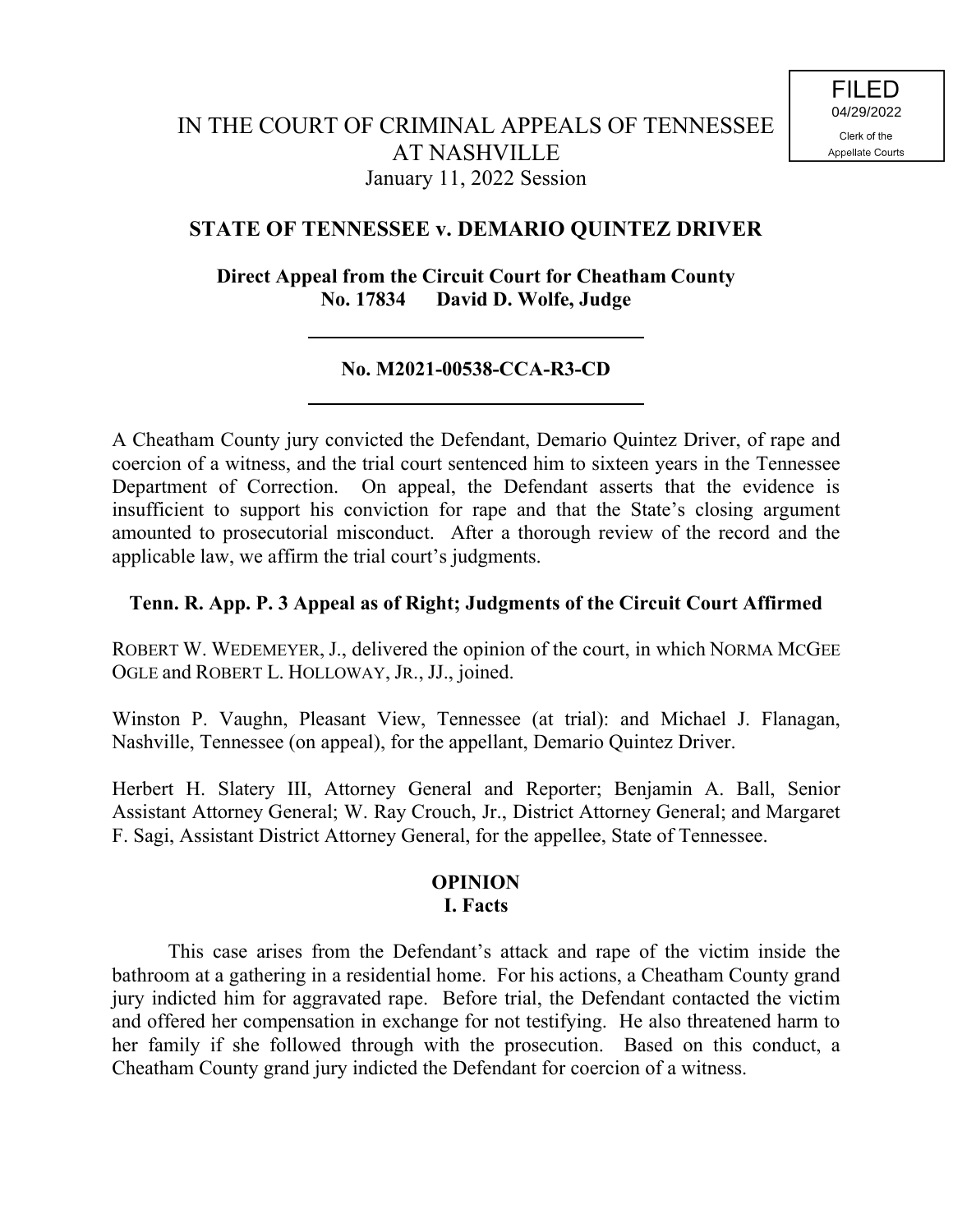# **STATE OF TENNESSEE v. DEMARIO QUINTEZ DRIVER**

**Direct Appeal from the Circuit Court for Cheatham County No. 17834 David D. Wolfe, Judge**

# **No. M2021-00538-CCA-R3-CD**

A Cheatham County jury convicted the Defendant, Demario Quintez Driver, of rape and coercion of a witness, and the trial court sentenced him to sixteen years in the Tennessee Department of Correction. On appeal, the Defendant asserts that the evidence is insufficient to support his conviction for rape and that the State's closing argument amounted to prosecutorial misconduct. After a thorough review of the record and the applicable law, we affirm the trial court's judgments.

## **Tenn. R. App. P. 3 Appeal as of Right; Judgments of the Circuit Court Affirmed**

ROBERT W. WEDEMEYER, J., delivered the opinion of the court, in which NORMA MCGEE OGLE and ROBERT L. HOLLOWAY, JR., JJ., joined.

Winston P. Vaughn, Pleasant View, Tennessee (at trial): and Michael J. Flanagan, Nashville, Tennessee (on appeal), for the appellant, Demario Quintez Driver.

Herbert H. Slatery III, Attorney General and Reporter; Benjamin A. Ball, Senior Assistant Attorney General; W. Ray Crouch, Jr., District Attorney General; and Margaret F. Sagi, Assistant District Attorney General, for the appellee, State of Tennessee.

## **OPINION I. Facts**

This case arises from the Defendant's attack and rape of the victim inside the bathroom at a gathering in a residential home. For his actions, a Cheatham County grand jury indicted him for aggravated rape. Before trial, the Defendant contacted the victim and offered her compensation in exchange for not testifying. He also threatened harm to her family if she followed through with the prosecution. Based on this conduct, a Cheatham County grand jury indicted the Defendant for coercion of a witness.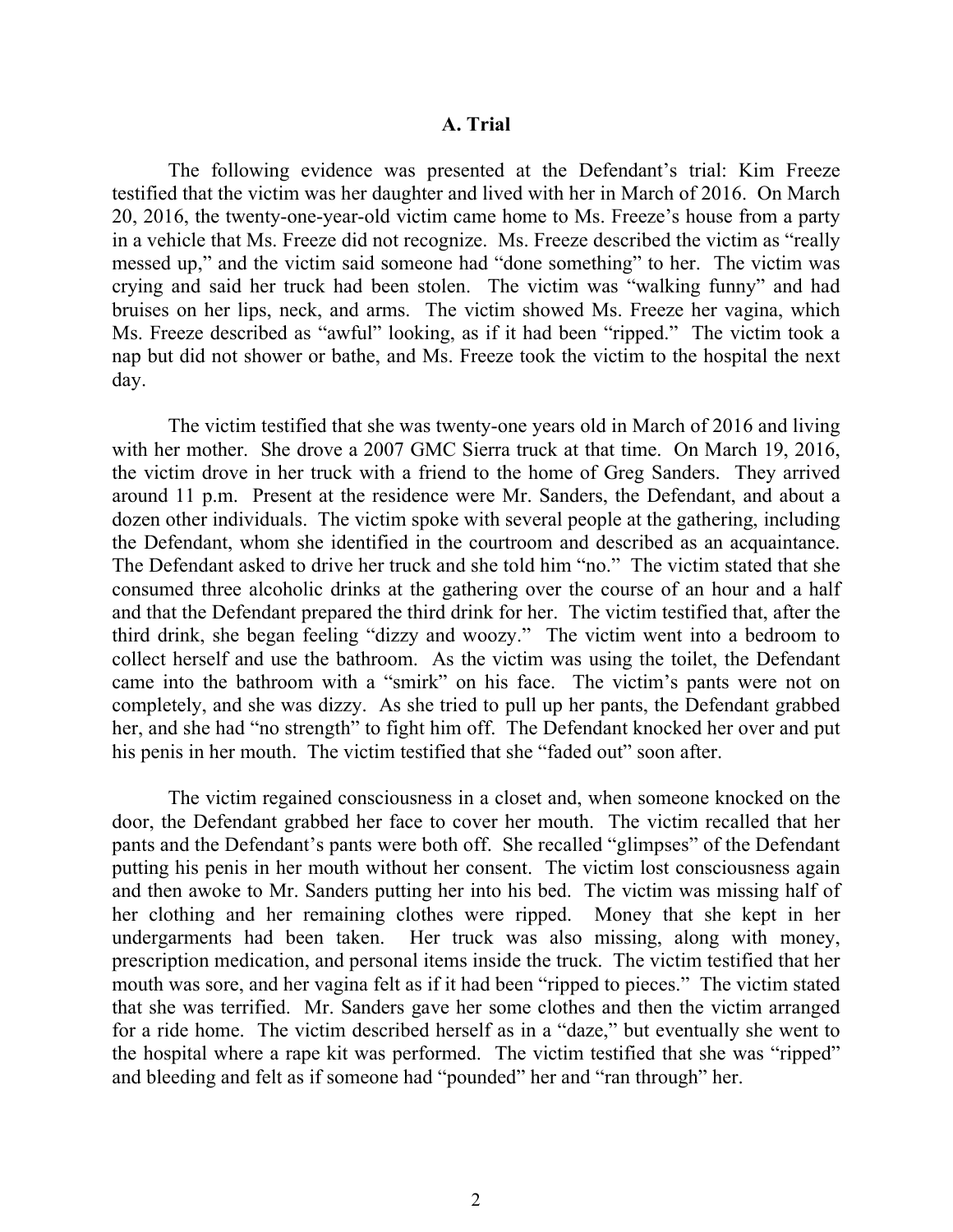#### **A. Trial**

The following evidence was presented at the Defendant's trial: Kim Freeze testified that the victim was her daughter and lived with her in March of 2016. On March 20, 2016, the twenty-one-year-old victim came home to Ms. Freeze's house from a party in a vehicle that Ms. Freeze did not recognize. Ms. Freeze described the victim as "really messed up," and the victim said someone had "done something" to her. The victim was crying and said her truck had been stolen. The victim was "walking funny" and had bruises on her lips, neck, and arms. The victim showed Ms. Freeze her vagina, which Ms. Freeze described as "awful" looking, as if it had been "ripped." The victim took a nap but did not shower or bathe, and Ms. Freeze took the victim to the hospital the next day.

The victim testified that she was twenty-one years old in March of 2016 and living with her mother. She drove a 2007 GMC Sierra truck at that time. On March 19, 2016, the victim drove in her truck with a friend to the home of Greg Sanders. They arrived around 11 p.m. Present at the residence were Mr. Sanders, the Defendant, and about a dozen other individuals. The victim spoke with several people at the gathering, including the Defendant, whom she identified in the courtroom and described as an acquaintance. The Defendant asked to drive her truck and she told him "no." The victim stated that she consumed three alcoholic drinks at the gathering over the course of an hour and a half and that the Defendant prepared the third drink for her. The victim testified that, after the third drink, she began feeling "dizzy and woozy." The victim went into a bedroom to collect herself and use the bathroom. As the victim was using the toilet, the Defendant came into the bathroom with a "smirk" on his face. The victim's pants were not on completely, and she was dizzy. As she tried to pull up her pants, the Defendant grabbed her, and she had "no strength" to fight him off. The Defendant knocked her over and put his penis in her mouth. The victim testified that she "faded out" soon after.

The victim regained consciousness in a closet and, when someone knocked on the door, the Defendant grabbed her face to cover her mouth. The victim recalled that her pants and the Defendant's pants were both off. She recalled "glimpses" of the Defendant putting his penis in her mouth without her consent. The victim lost consciousness again and then awoke to Mr. Sanders putting her into his bed. The victim was missing half of her clothing and her remaining clothes were ripped. Money that she kept in her undergarments had been taken. Her truck was also missing, along with money, prescription medication, and personal items inside the truck. The victim testified that her mouth was sore, and her vagina felt as if it had been "ripped to pieces." The victim stated that she was terrified. Mr. Sanders gave her some clothes and then the victim arranged for a ride home. The victim described herself as in a "daze," but eventually she went to the hospital where a rape kit was performed. The victim testified that she was "ripped" and bleeding and felt as if someone had "pounded" her and "ran through" her.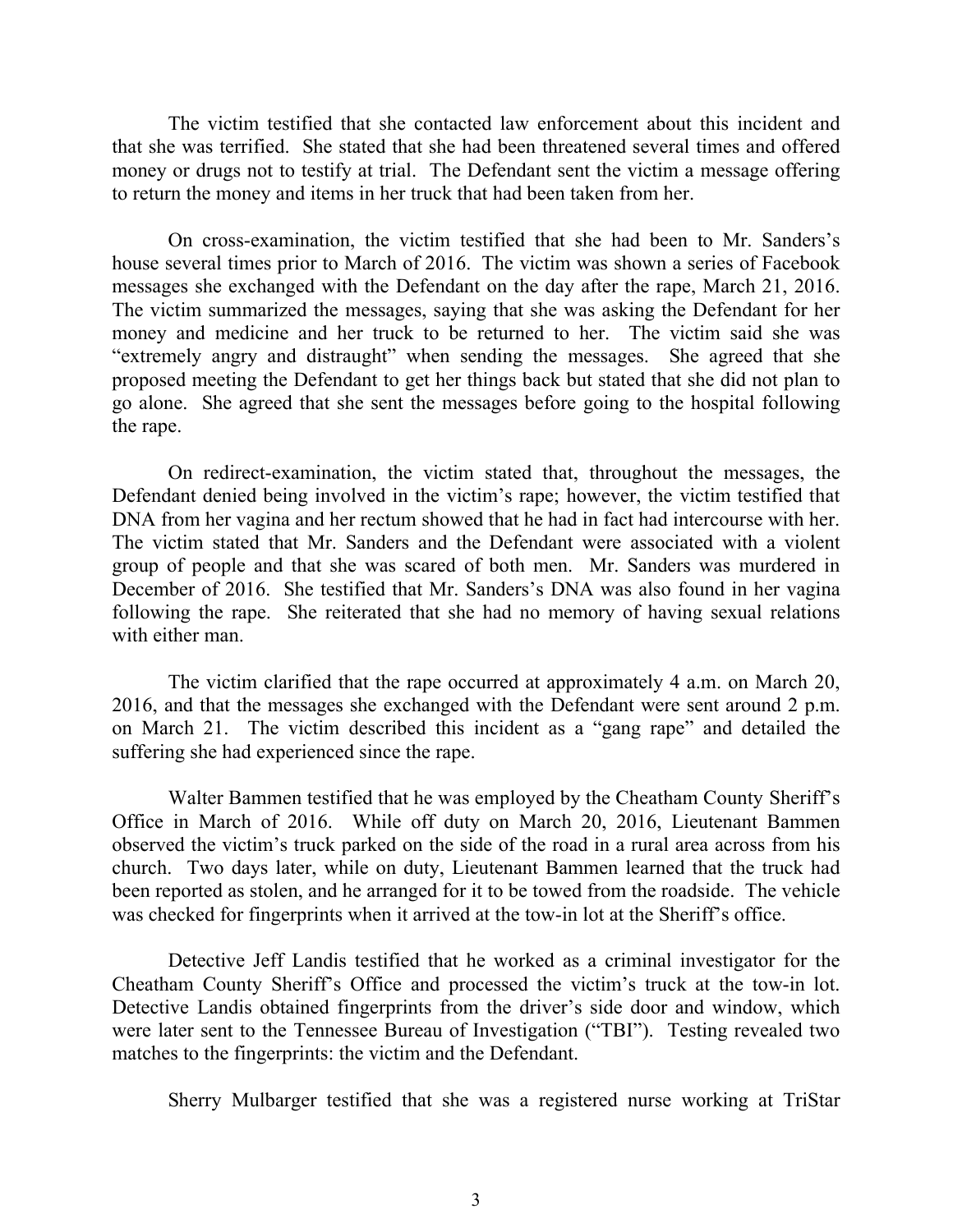The victim testified that she contacted law enforcement about this incident and that she was terrified. She stated that she had been threatened several times and offered money or drugs not to testify at trial. The Defendant sent the victim a message offering to return the money and items in her truck that had been taken from her.

On cross-examination, the victim testified that she had been to Mr. Sanders's house several times prior to March of 2016. The victim was shown a series of Facebook messages she exchanged with the Defendant on the day after the rape, March 21, 2016. The victim summarized the messages, saying that she was asking the Defendant for her money and medicine and her truck to be returned to her. The victim said she was "extremely angry and distraught" when sending the messages. She agreed that she proposed meeting the Defendant to get her things back but stated that she did not plan to go alone. She agreed that she sent the messages before going to the hospital following the rape.

On redirect-examination, the victim stated that, throughout the messages, the Defendant denied being involved in the victim's rape; however, the victim testified that DNA from her vagina and her rectum showed that he had in fact had intercourse with her. The victim stated that Mr. Sanders and the Defendant were associated with a violent group of people and that she was scared of both men. Mr. Sanders was murdered in December of 2016. She testified that Mr. Sanders's DNA was also found in her vagina following the rape. She reiterated that she had no memory of having sexual relations with either man.

The victim clarified that the rape occurred at approximately 4 a.m. on March 20, 2016, and that the messages she exchanged with the Defendant were sent around 2 p.m. on March 21. The victim described this incident as a "gang rape" and detailed the suffering she had experienced since the rape.

Walter Bammen testified that he was employed by the Cheatham County Sheriff's Office in March of 2016. While off duty on March 20, 2016, Lieutenant Bammen observed the victim's truck parked on the side of the road in a rural area across from his church. Two days later, while on duty, Lieutenant Bammen learned that the truck had been reported as stolen, and he arranged for it to be towed from the roadside. The vehicle was checked for fingerprints when it arrived at the tow-in lot at the Sheriff's office.

Detective Jeff Landis testified that he worked as a criminal investigator for the Cheatham County Sheriff's Office and processed the victim's truck at the tow-in lot. Detective Landis obtained fingerprints from the driver's side door and window, which were later sent to the Tennessee Bureau of Investigation ("TBI"). Testing revealed two matches to the fingerprints: the victim and the Defendant.

Sherry Mulbarger testified that she was a registered nurse working at TriStar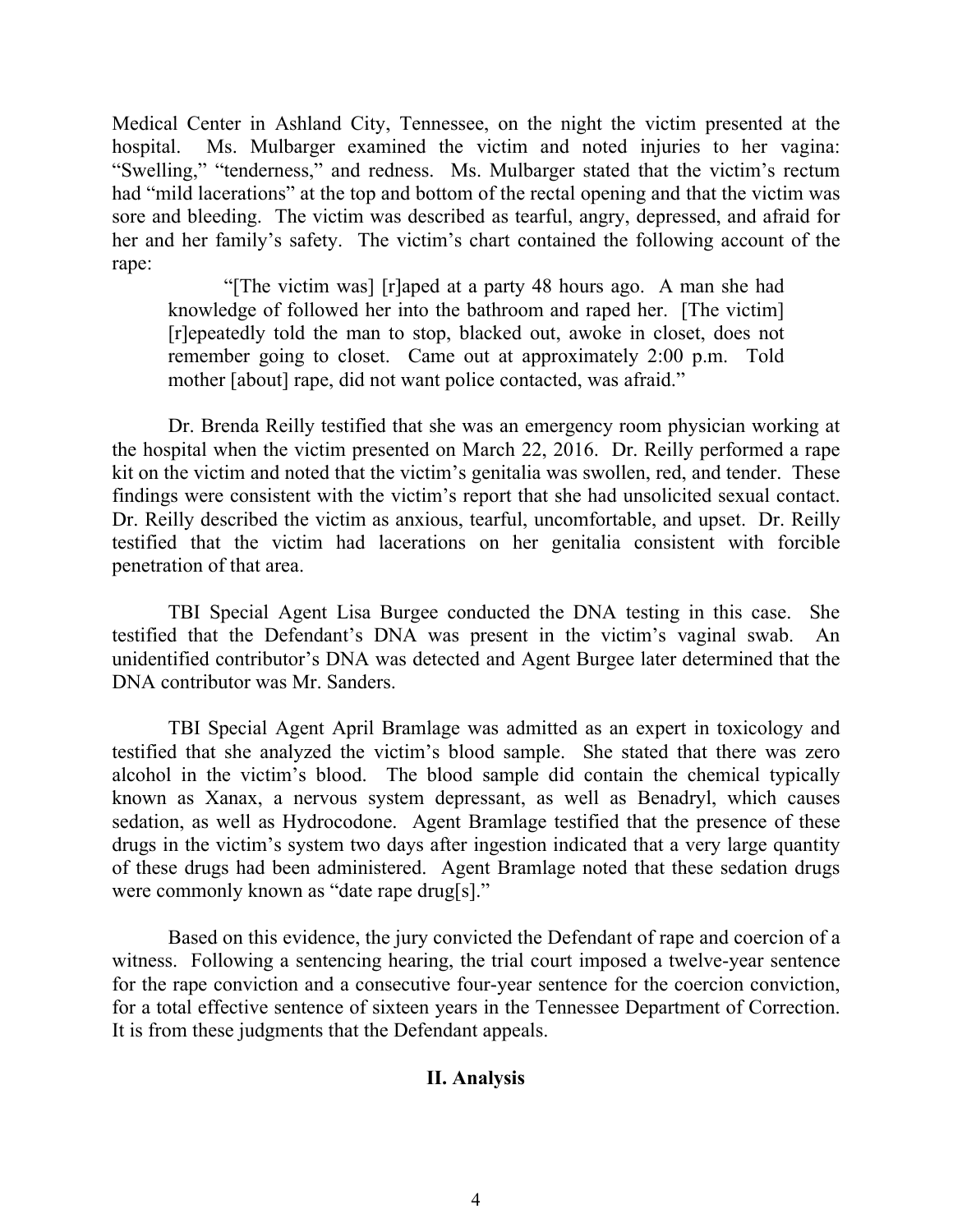Medical Center in Ashland City, Tennessee, on the night the victim presented at the hospital. Ms. Mulbarger examined the victim and noted injuries to her vagina: "Swelling," "tenderness," and redness. Ms. Mulbarger stated that the victim's rectum had "mild lacerations" at the top and bottom of the rectal opening and that the victim was sore and bleeding. The victim was described as tearful, angry, depressed, and afraid for her and her family's safety. The victim's chart contained the following account of the rape:

"[The victim was] [r]aped at a party 48 hours ago. A man she had knowledge of followed her into the bathroom and raped her. [The victim] [r]epeatedly told the man to stop, blacked out, awoke in closet, does not remember going to closet. Came out at approximately 2:00 p.m. Told mother [about] rape, did not want police contacted, was afraid."

Dr. Brenda Reilly testified that she was an emergency room physician working at the hospital when the victim presented on March 22, 2016. Dr. Reilly performed a rape kit on the victim and noted that the victim's genitalia was swollen, red, and tender. These findings were consistent with the victim's report that she had unsolicited sexual contact. Dr. Reilly described the victim as anxious, tearful, uncomfortable, and upset. Dr. Reilly testified that the victim had lacerations on her genitalia consistent with forcible penetration of that area.

TBI Special Agent Lisa Burgee conducted the DNA testing in this case. She testified that the Defendant's DNA was present in the victim's vaginal swab. An unidentified contributor's DNA was detected and Agent Burgee later determined that the DNA contributor was Mr. Sanders.

TBI Special Agent April Bramlage was admitted as an expert in toxicology and testified that she analyzed the victim's blood sample. She stated that there was zero alcohol in the victim's blood. The blood sample did contain the chemical typically known as Xanax, a nervous system depressant, as well as Benadryl, which causes sedation, as well as Hydrocodone. Agent Bramlage testified that the presence of these drugs in the victim's system two days after ingestion indicated that a very large quantity of these drugs had been administered. Agent Bramlage noted that these sedation drugs were commonly known as "date rape drug[s]."

Based on this evidence, the jury convicted the Defendant of rape and coercion of a witness. Following a sentencing hearing, the trial court imposed a twelve-year sentence for the rape conviction and a consecutive four-year sentence for the coercion conviction, for a total effective sentence of sixteen years in the Tennessee Department of Correction. It is from these judgments that the Defendant appeals.

## **II. Analysis**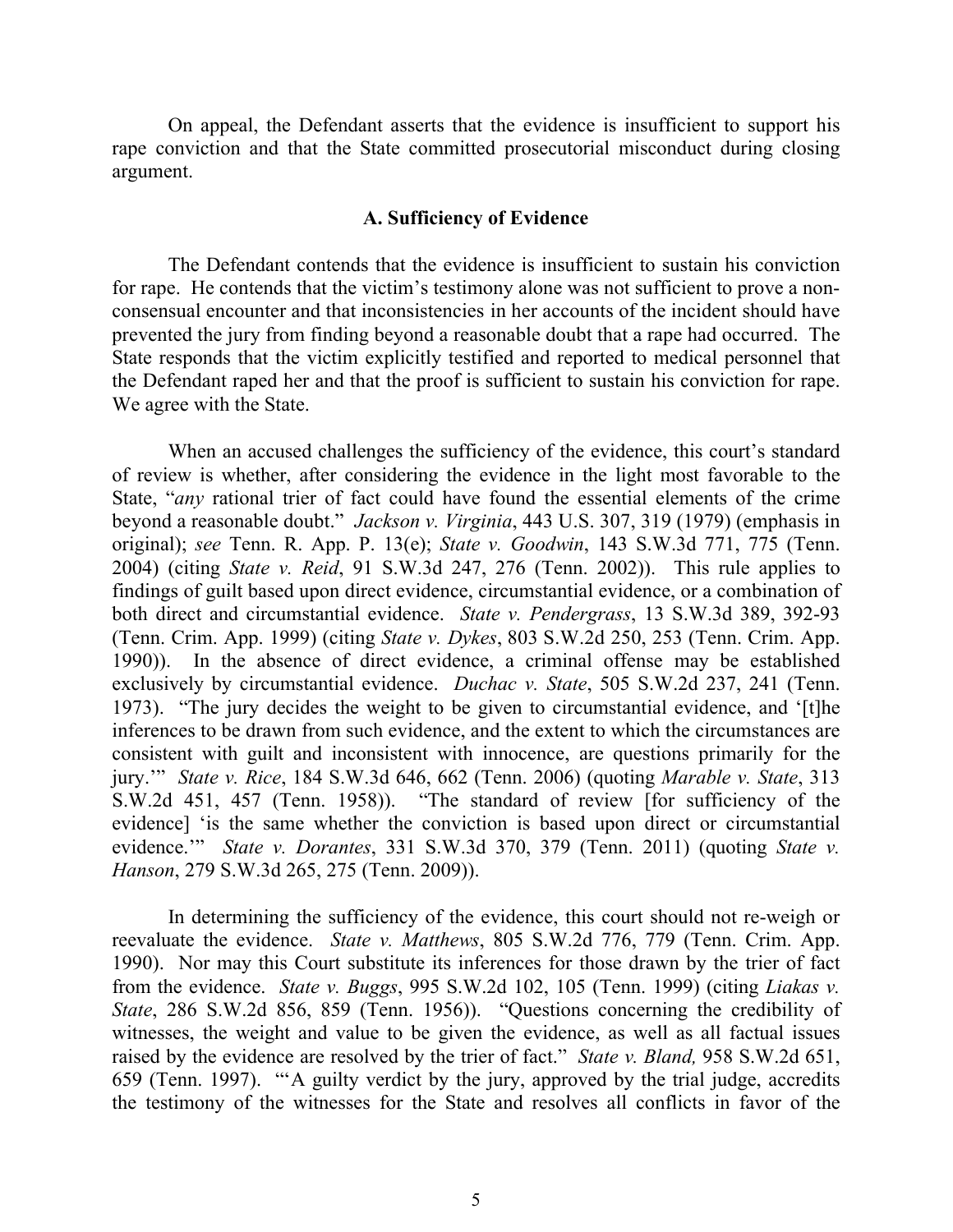On appeal, the Defendant asserts that the evidence is insufficient to support his rape conviction and that the State committed prosecutorial misconduct during closing argument.

#### **A. Sufficiency of Evidence**

The Defendant contends that the evidence is insufficient to sustain his conviction for rape. He contends that the victim's testimony alone was not sufficient to prove a nonconsensual encounter and that inconsistencies in her accounts of the incident should have prevented the jury from finding beyond a reasonable doubt that a rape had occurred. The State responds that the victim explicitly testified and reported to medical personnel that the Defendant raped her and that the proof is sufficient to sustain his conviction for rape. We agree with the State.

When an accused challenges the sufficiency of the evidence, this court's standard of review is whether, after considering the evidence in the light most favorable to the State, "*any* rational trier of fact could have found the essential elements of the crime beyond a reasonable doubt." *Jackson v. Virginia*, 443 U.S. 307, 319 (1979) (emphasis in original); *see* Tenn. R. App. P. 13(e); *State v. Goodwin*, 143 S.W.3d 771, 775 (Tenn. 2004) (citing *State v. Reid*, 91 S.W.3d 247, 276 (Tenn. 2002)). This rule applies to findings of guilt based upon direct evidence, circumstantial evidence, or a combination of both direct and circumstantial evidence. *State v. Pendergrass*, 13 S.W.3d 389, 392-93 (Tenn. Crim. App. 1999) (citing *State v. Dykes*, 803 S.W.2d 250, 253 (Tenn. Crim. App. 1990)). In the absence of direct evidence, a criminal offense may be established exclusively by circumstantial evidence. *Duchac v. State*, 505 S.W.2d 237, 241 (Tenn. 1973). "The jury decides the weight to be given to circumstantial evidence, and '[t]he inferences to be drawn from such evidence, and the extent to which the circumstances are consistent with guilt and inconsistent with innocence, are questions primarily for the jury.'" *State v. Rice*, 184 S.W.3d 646, 662 (Tenn. 2006) (quoting *Marable v. State*, 313 S.W.2d 451, 457 (Tenn. 1958)). "The standard of review [for sufficiency of the evidence] 'is the same whether the conviction is based upon direct or circumstantial evidence.'" *State v. Dorantes*, 331 S.W.3d 370, 379 (Tenn. 2011) (quoting *State v. Hanson*, 279 S.W.3d 265, 275 (Tenn. 2009)).

In determining the sufficiency of the evidence, this court should not re-weigh or reevaluate the evidence. *State v. Matthews*, 805 S.W.2d 776, 779 (Tenn. Crim. App. 1990). Nor may this Court substitute its inferences for those drawn by the trier of fact from the evidence. *State v. Buggs*, 995 S.W.2d 102, 105 (Tenn. 1999) (citing *Liakas v. State*, 286 S.W.2d 856, 859 (Tenn. 1956)). "Questions concerning the credibility of witnesses, the weight and value to be given the evidence, as well as all factual issues raised by the evidence are resolved by the trier of fact." *State v. Bland,* 958 S.W.2d 651, 659 (Tenn. 1997). "'A guilty verdict by the jury, approved by the trial judge, accredits the testimony of the witnesses for the State and resolves all conflicts in favor of the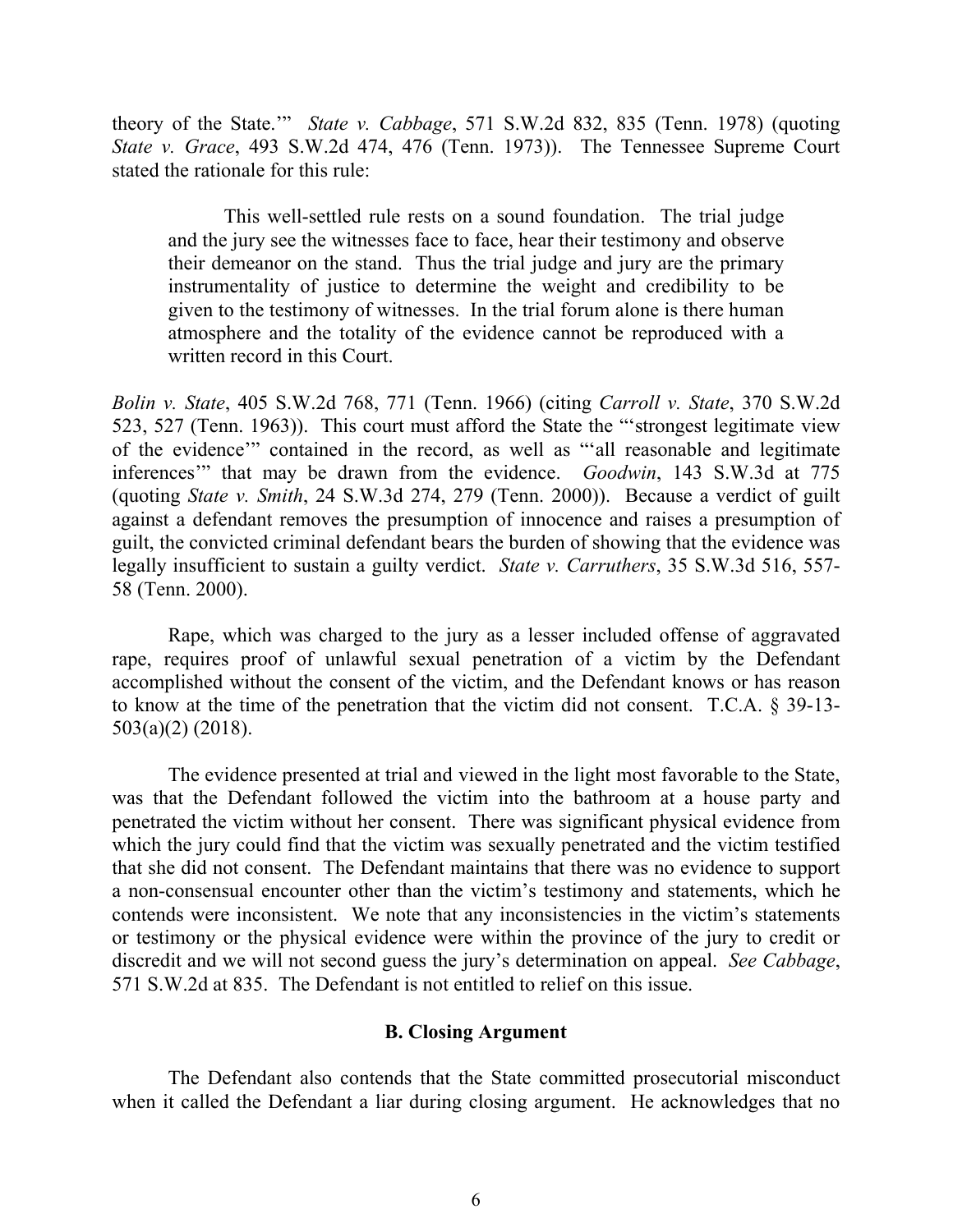theory of the State.'" *State v. Cabbage*, 571 S.W.2d 832, 835 (Tenn. 1978) (quoting *State v. Grace*, 493 S.W.2d 474, 476 (Tenn. 1973)). The Tennessee Supreme Court stated the rationale for this rule:

This well-settled rule rests on a sound foundation. The trial judge and the jury see the witnesses face to face, hear their testimony and observe their demeanor on the stand. Thus the trial judge and jury are the primary instrumentality of justice to determine the weight and credibility to be given to the testimony of witnesses. In the trial forum alone is there human atmosphere and the totality of the evidence cannot be reproduced with a written record in this Court.

*Bolin v. State*, 405 S.W.2d 768, 771 (Tenn. 1966) (citing *Carroll v. State*, 370 S.W.2d 523, 527 (Tenn. 1963)). This court must afford the State the "'strongest legitimate view of the evidence'" contained in the record, as well as "'all reasonable and legitimate inferences'" that may be drawn from the evidence. *Goodwin*, 143 S.W.3d at 775 (quoting *State v. Smith*, 24 S.W.3d 274, 279 (Tenn. 2000)). Because a verdict of guilt against a defendant removes the presumption of innocence and raises a presumption of guilt, the convicted criminal defendant bears the burden of showing that the evidence was legally insufficient to sustain a guilty verdict. *State v. Carruthers*, 35 S.W.3d 516, 557- 58 (Tenn. 2000).

Rape, which was charged to the jury as a lesser included offense of aggravated rape, requires proof of unlawful sexual penetration of a victim by the Defendant accomplished without the consent of the victim, and the Defendant knows or has reason to know at the time of the penetration that the victim did not consent. T.C.A. § 39-13- 503(a)(2) (2018).

The evidence presented at trial and viewed in the light most favorable to the State, was that the Defendant followed the victim into the bathroom at a house party and penetrated the victim without her consent. There was significant physical evidence from which the jury could find that the victim was sexually penetrated and the victim testified that she did not consent. The Defendant maintains that there was no evidence to support a non-consensual encounter other than the victim's testimony and statements, which he contends were inconsistent. We note that any inconsistencies in the victim's statements or testimony or the physical evidence were within the province of the jury to credit or discredit and we will not second guess the jury's determination on appeal. *See Cabbage*, 571 S.W.2d at 835. The Defendant is not entitled to relief on this issue.

### **B. Closing Argument**

The Defendant also contends that the State committed prosecutorial misconduct when it called the Defendant a liar during closing argument. He acknowledges that no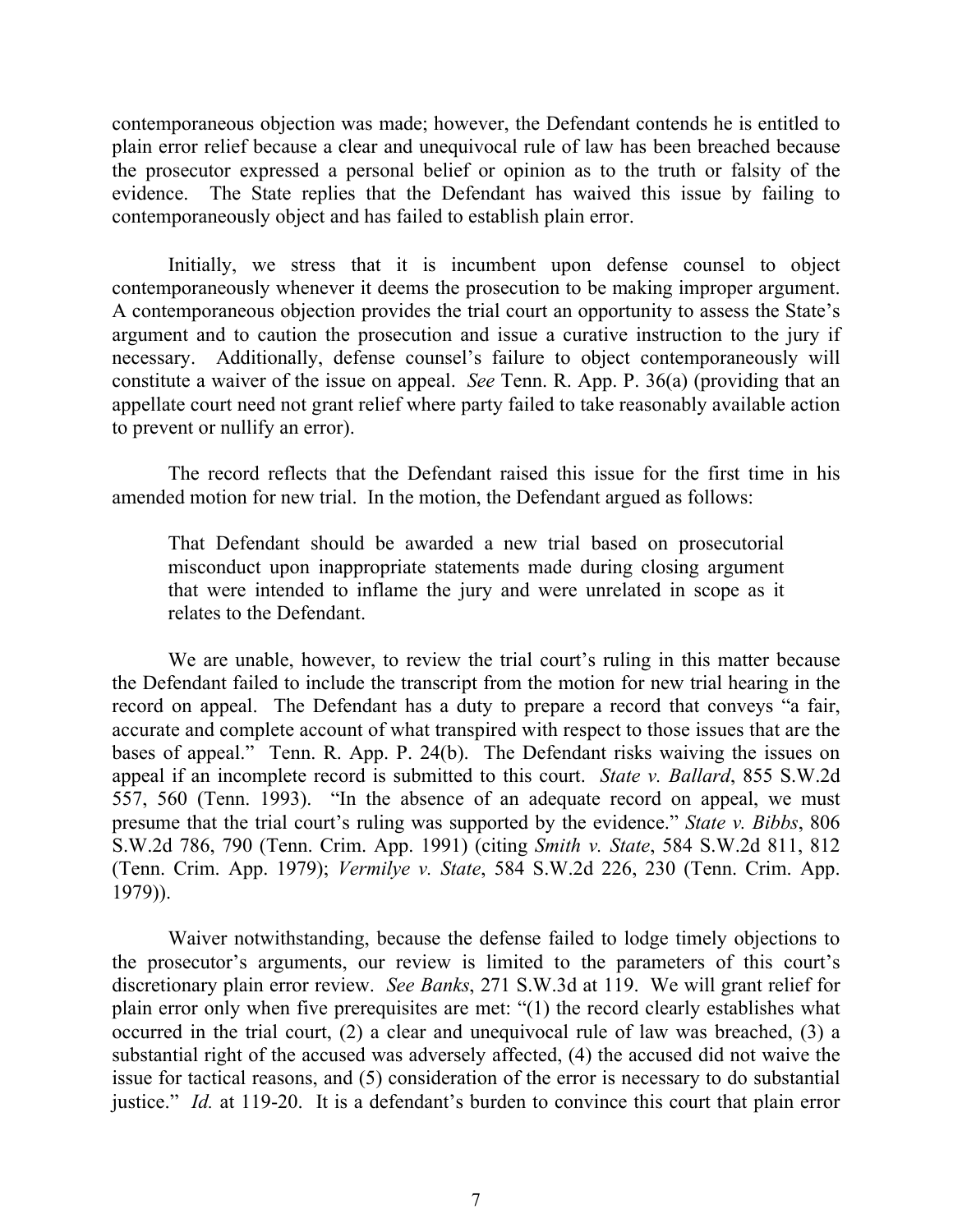contemporaneous objection was made; however, the Defendant contends he is entitled to plain error relief because a clear and unequivocal rule of law has been breached because the prosecutor expressed a personal belief or opinion as to the truth or falsity of the evidence. The State replies that the Defendant has waived this issue by failing to contemporaneously object and has failed to establish plain error.

Initially, we stress that it is incumbent upon defense counsel to object contemporaneously whenever it deems the prosecution to be making improper argument. A contemporaneous objection provides the trial court an opportunity to assess the State's argument and to caution the prosecution and issue a curative instruction to the jury if necessary. Additionally, defense counsel's failure to object contemporaneously will constitute a waiver of the issue on appeal. *See* Tenn. R. App. P. 36(a) (providing that an appellate court need not grant relief where party failed to take reasonably available action to prevent or nullify an error).

The record reflects that the Defendant raised this issue for the first time in his amended motion for new trial. In the motion, the Defendant argued as follows:

That Defendant should be awarded a new trial based on prosecutorial misconduct upon inappropriate statements made during closing argument that were intended to inflame the jury and were unrelated in scope as it relates to the Defendant.

We are unable, however, to review the trial court's ruling in this matter because the Defendant failed to include the transcript from the motion for new trial hearing in the record on appeal. The Defendant has a duty to prepare a record that conveys "a fair, accurate and complete account of what transpired with respect to those issues that are the bases of appeal." Tenn. R. App. P. 24(b). The Defendant risks waiving the issues on appeal if an incomplete record is submitted to this court. *State v. Ballard*, 855 S.W.2d 557, 560 (Tenn. 1993). "In the absence of an adequate record on appeal, we must presume that the trial court's ruling was supported by the evidence." *State v. Bibbs*, 806 S.W.2d 786, 790 (Tenn. Crim. App. 1991) (citing *Smith v. State*, 584 S.W.2d 811, 812 (Tenn. Crim. App. 1979); *Vermilye v. State*, 584 S.W.2d 226, 230 (Tenn. Crim. App. 1979)).

Waiver notwithstanding, because the defense failed to lodge timely objections to the prosecutor's arguments, our review is limited to the parameters of this court's discretionary plain error review. *See Banks*, 271 S.W.3d at 119. We will grant relief for plain error only when five prerequisites are met: "(1) the record clearly establishes what occurred in the trial court, (2) a clear and unequivocal rule of law was breached, (3) a substantial right of the accused was adversely affected, (4) the accused did not waive the issue for tactical reasons, and (5) consideration of the error is necessary to do substantial justice." *Id.* at 119-20. It is a defendant's burden to convince this court that plain error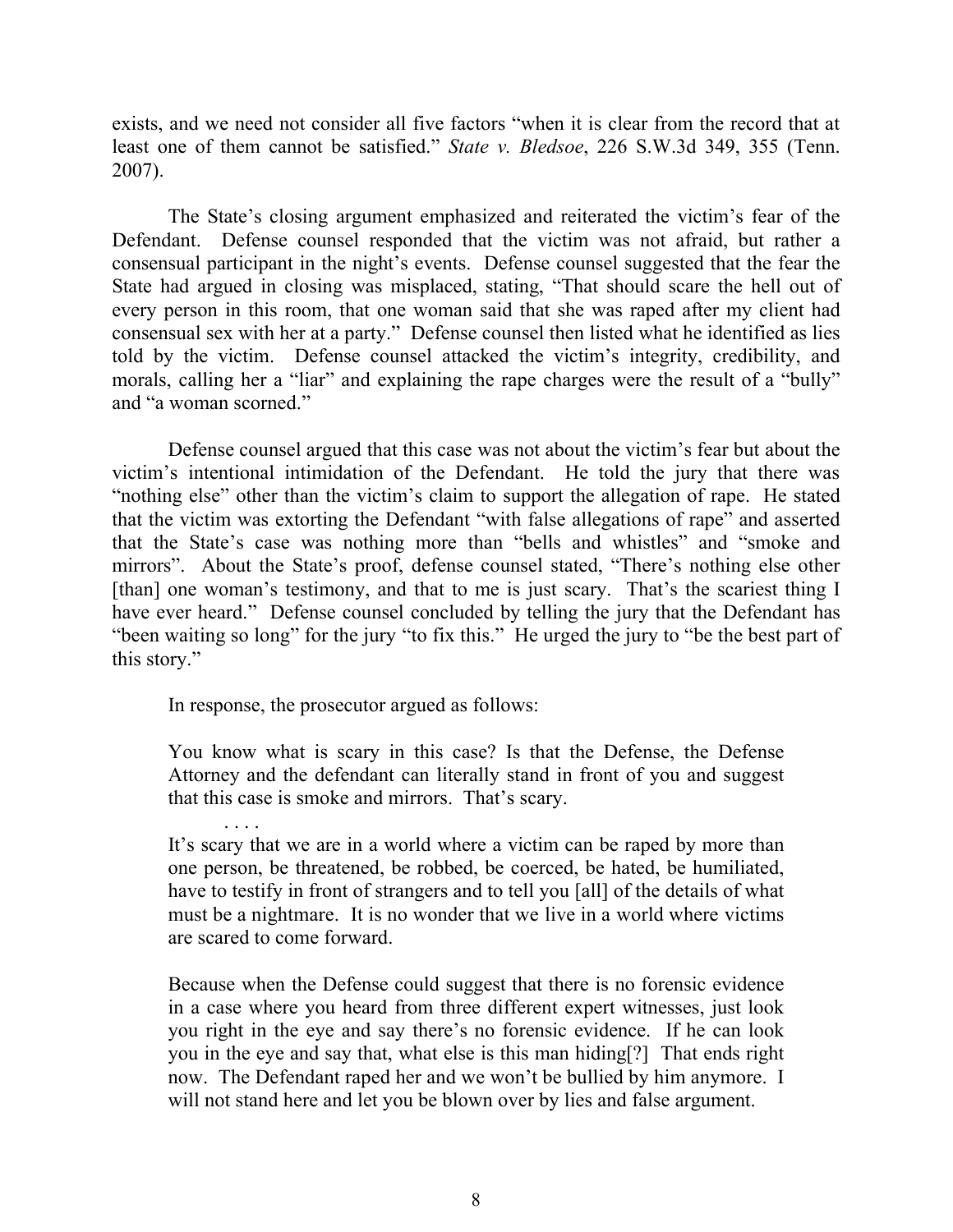exists, and we need not consider all five factors "when it is clear from the record that at least one of them cannot be satisfied." *State v. Bledsoe*, 226 S.W.3d 349, 355 (Tenn. 2007).

The State's closing argument emphasized and reiterated the victim's fear of the Defendant. Defense counsel responded that the victim was not afraid, but rather a consensual participant in the night's events. Defense counsel suggested that the fear the State had argued in closing was misplaced, stating, "That should scare the hell out of every person in this room, that one woman said that she was raped after my client had consensual sex with her at a party." Defense counsel then listed what he identified as lies told by the victim. Defense counsel attacked the victim's integrity, credibility, and morals, calling her a "liar" and explaining the rape charges were the result of a "bully" and "a woman scorned."

Defense counsel argued that this case was not about the victim's fear but about the victim's intentional intimidation of the Defendant. He told the jury that there was "nothing else" other than the victim's claim to support the allegation of rape. He stated that the victim was extorting the Defendant "with false allegations of rape" and asserted that the State's case was nothing more than "bells and whistles" and "smoke and mirrors". About the State's proof, defense counsel stated, "There's nothing else other [than] one woman's testimony, and that to me is just scary. That's the scariest thing I have ever heard." Defense counsel concluded by telling the jury that the Defendant has "been waiting so long" for the jury "to fix this." He urged the jury to "be the best part of this story."

In response, the prosecutor argued as follows:

You know what is scary in this case? Is that the Defense, the Defense Attorney and the defendant can literally stand in front of you and suggest that this case is smoke and mirrors. That's scary.

It's scary that we are in a world where a victim can be raped by more than one person, be threatened, be robbed, be coerced, be hated, be humiliated, have to testify in front of strangers and to tell you [all] of the details of what must be a nightmare. It is no wonder that we live in a world where victims are scared to come forward.

Because when the Defense could suggest that there is no forensic evidence in a case where you heard from three different expert witnesses, just look you right in the eye and say there's no forensic evidence. If he can look you in the eye and say that, what else is this man hiding[?] That ends right now. The Defendant raped her and we won't be bullied by him anymore. I will not stand here and let you be blown over by lies and false argument.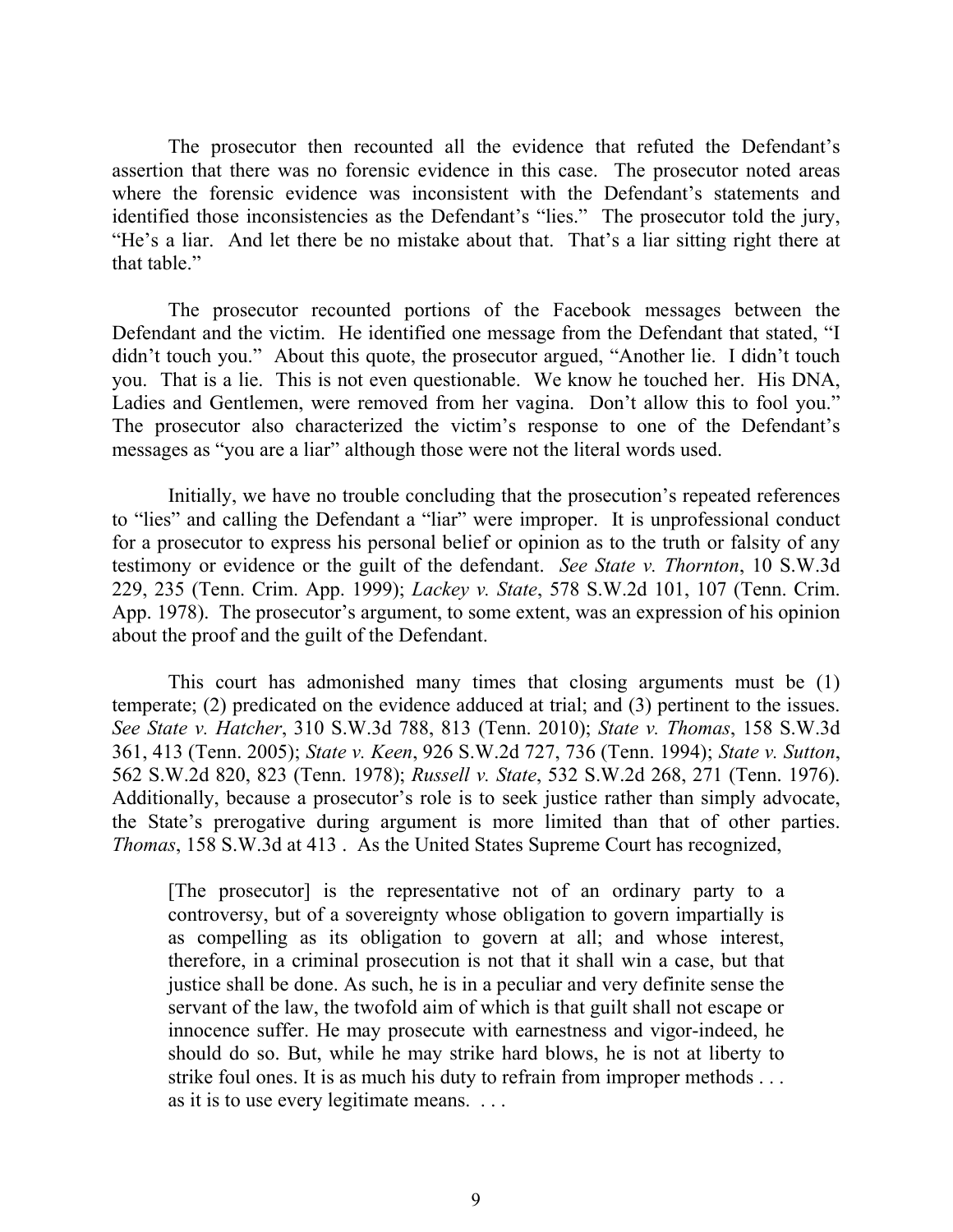The prosecutor then recounted all the evidence that refuted the Defendant's assertion that there was no forensic evidence in this case. The prosecutor noted areas where the forensic evidence was inconsistent with the Defendant's statements and identified those inconsistencies as the Defendant's "lies." The prosecutor told the jury, "He's a liar. And let there be no mistake about that. That's a liar sitting right there at that table."

The prosecutor recounted portions of the Facebook messages between the Defendant and the victim. He identified one message from the Defendant that stated, "I didn't touch you." About this quote, the prosecutor argued, "Another lie. I didn't touch you. That is a lie. This is not even questionable. We know he touched her. His DNA, Ladies and Gentlemen, were removed from her vagina. Don't allow this to fool you." The prosecutor also characterized the victim's response to one of the Defendant's messages as "you are a liar" although those were not the literal words used.

Initially, we have no trouble concluding that the prosecution's repeated references to "lies" and calling the Defendant a "liar" were improper. It is unprofessional conduct for a prosecutor to express his personal belief or opinion as to the truth or falsity of any testimony or evidence or the guilt of the defendant. *See State v. Thornton*, 10 S.W.3d 229, 235 (Tenn. Crim. App. 1999); *Lackey v. State*, 578 S.W.2d 101, 107 (Tenn. Crim. App. 1978). The prosecutor's argument, to some extent, was an expression of his opinion about the proof and the guilt of the Defendant.

This court has admonished many times that closing arguments must be (1) temperate; (2) predicated on the evidence adduced at trial; and (3) pertinent to the issues. *See State v. Hatcher*, 310 S.W.3d 788, 813 (Tenn. 2010); *State v. Thomas*, 158 S.W.3d 361, 413 (Tenn. 2005); *State v. Keen*, 926 S.W.2d 727, 736 (Tenn. 1994); *State v. Sutton*, 562 S.W.2d 820, 823 (Tenn. 1978); *Russell v. State*, 532 S.W.2d 268, 271 (Tenn. 1976). Additionally, because a prosecutor's role is to seek justice rather than simply advocate, the State's prerogative during argument is more limited than that of other parties. *Thomas*, 158 S.W.3d at 413 . As the United States Supreme Court has recognized,

[The prosecutor] is the representative not of an ordinary party to a controversy, but of a sovereignty whose obligation to govern impartially is as compelling as its obligation to govern at all; and whose interest, therefore, in a criminal prosecution is not that it shall win a case, but that justice shall be done. As such, he is in a peculiar and very definite sense the servant of the law, the twofold aim of which is that guilt shall not escape or innocence suffer. He may prosecute with earnestness and vigor-indeed, he should do so. But, while he may strike hard blows, he is not at liberty to strike foul ones. It is as much his duty to refrain from improper methods . . . as it is to use every legitimate means. . . .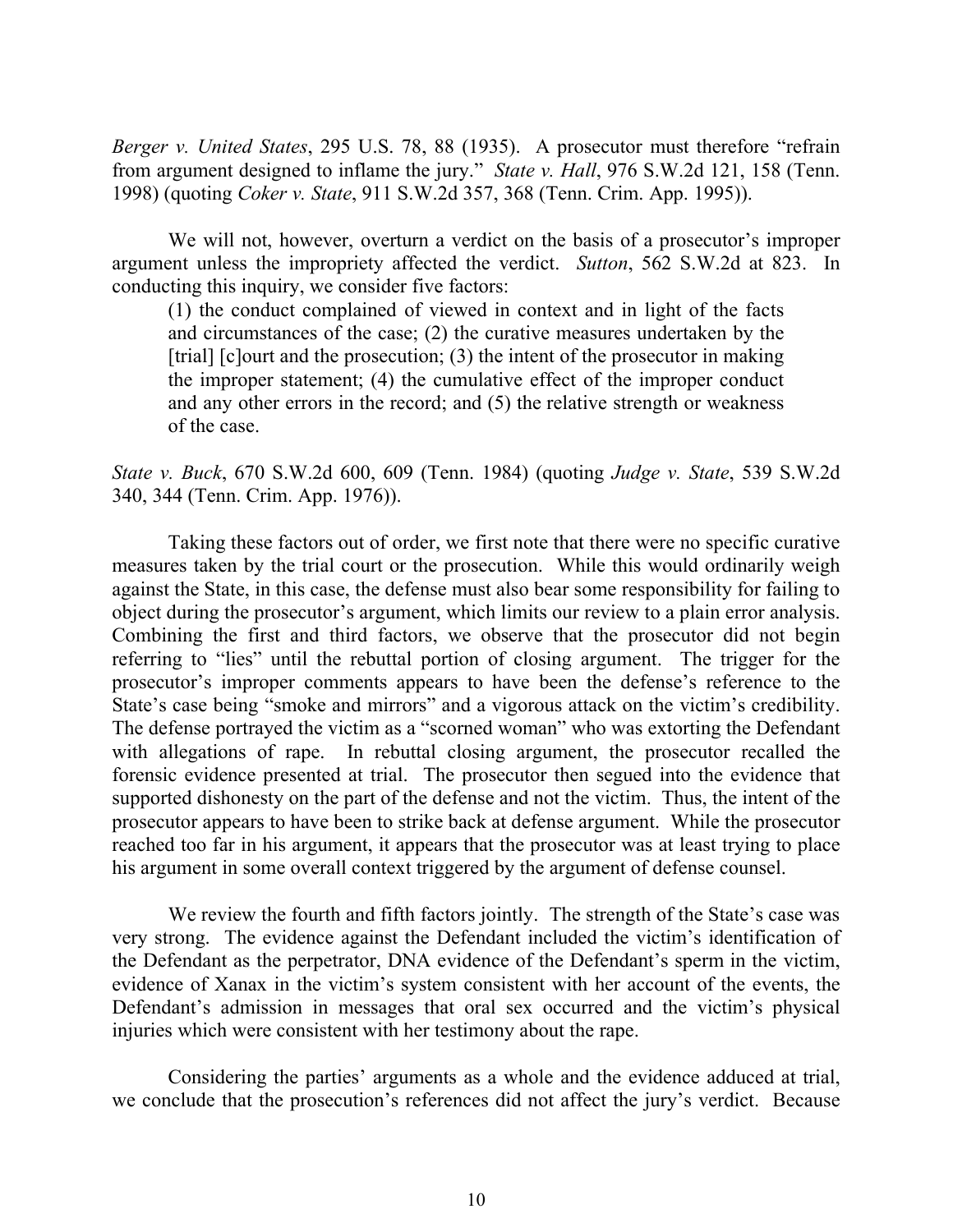*Berger v. United States*, 295 U.S. 78, 88 (1935). A prosecutor must therefore "refrain from argument designed to inflame the jury." *State v. Hall*, 976 S.W.2d 121, 158 (Tenn. 1998) (quoting *Coker v. State*, 911 S.W.2d 357, 368 (Tenn. Crim. App. 1995)).

We will not, however, overturn a verdict on the basis of a prosecutor's improper argument unless the impropriety affected the verdict. *Sutton*, 562 S.W.2d at 823. In conducting this inquiry, we consider five factors:

(1) the conduct complained of viewed in context and in light of the facts and circumstances of the case; (2) the curative measures undertaken by the [trial] [c]ourt and the prosecution; (3) the intent of the prosecutor in making the improper statement; (4) the cumulative effect of the improper conduct and any other errors in the record; and (5) the relative strength or weakness of the case.

*State v. Buck*, 670 S.W.2d 600, 609 (Tenn. 1984) (quoting *Judge v. State*, 539 S.W.2d 340, 344 (Tenn. Crim. App. 1976)).

Taking these factors out of order, we first note that there were no specific curative measures taken by the trial court or the prosecution. While this would ordinarily weigh against the State, in this case, the defense must also bear some responsibility for failing to object during the prosecutor's argument, which limits our review to a plain error analysis. Combining the first and third factors, we observe that the prosecutor did not begin referring to "lies" until the rebuttal portion of closing argument. The trigger for the prosecutor's improper comments appears to have been the defense's reference to the State's case being "smoke and mirrors" and a vigorous attack on the victim's credibility. The defense portrayed the victim as a "scorned woman" who was extorting the Defendant with allegations of rape. In rebuttal closing argument, the prosecutor recalled the forensic evidence presented at trial. The prosecutor then segued into the evidence that supported dishonesty on the part of the defense and not the victim. Thus, the intent of the prosecutor appears to have been to strike back at defense argument. While the prosecutor reached too far in his argument, it appears that the prosecutor was at least trying to place his argument in some overall context triggered by the argument of defense counsel.

We review the fourth and fifth factors jointly. The strength of the State's case was very strong. The evidence against the Defendant included the victim's identification of the Defendant as the perpetrator, DNA evidence of the Defendant's sperm in the victim, evidence of Xanax in the victim's system consistent with her account of the events, the Defendant's admission in messages that oral sex occurred and the victim's physical injuries which were consistent with her testimony about the rape.

Considering the parties' arguments as a whole and the evidence adduced at trial, we conclude that the prosecution's references did not affect the jury's verdict. Because